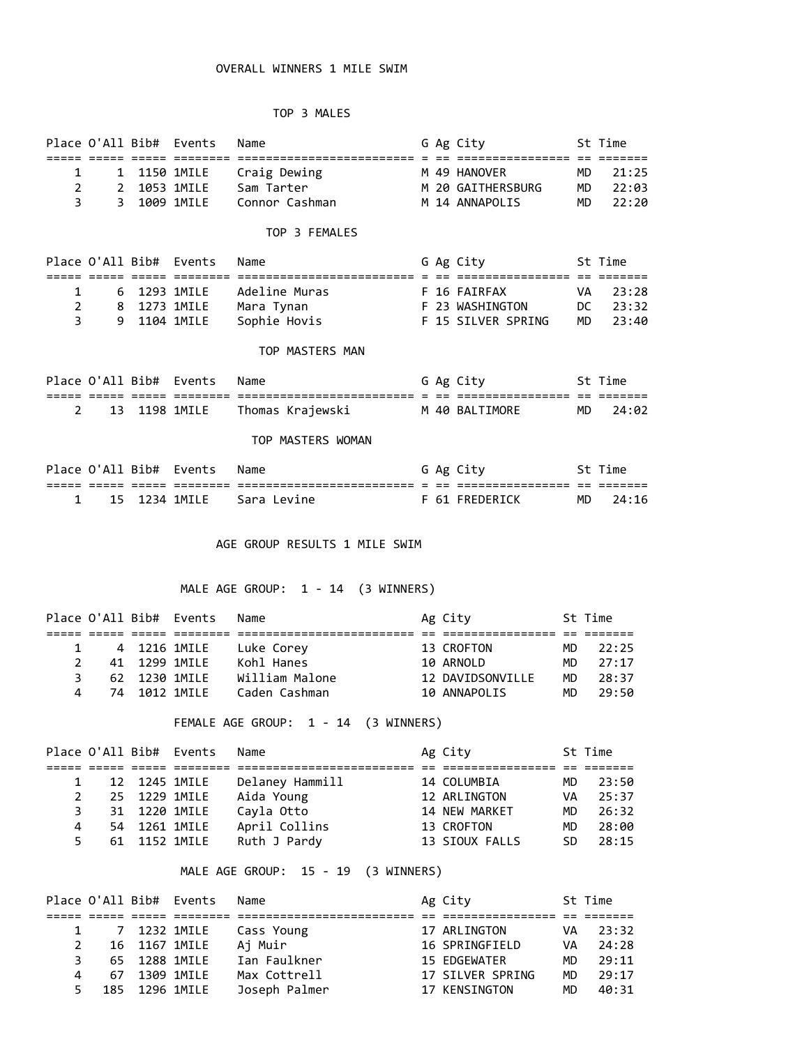## OVERALL WINNERS 1 MILE SWIM

### TOP 3 MALES

|                                            |                     | Place O'All Bib# Events                              | Name                                                                |  | G Ag City                                                   |                             | St Time                          |
|--------------------------------------------|---------------------|------------------------------------------------------|---------------------------------------------------------------------|--|-------------------------------------------------------------|-----------------------------|----------------------------------|
| $\mathbf{1}$<br>$\mathbf{2}^{\prime}$<br>3 | $2^{\circ}$<br>3    | 1 1150 1MILE<br>1053 1MILE<br>1009 1MILE             | Craig Dewing M 49 HANOVER<br>Sam Tarter<br>Connor Cashman           |  | M 20 GAITHERSBURG MD<br>M 14 ANNAPOLIS                      | <b>MD</b><br>MD             | 21:25<br>22:03<br>22:20          |
|                                            |                     |                                                      | TOP 3 FEMALES                                                       |  |                                                             |                             |                                  |
|                                            |                     | Place O'All Bib# Events                              | Name                                                                |  | G Ag City                                                   |                             | St Time                          |
| 1<br>$\overline{2}$<br>3                   | 9                   | 6 1293 1MILE<br>8 1273 1MILE<br>1104 1MILE           | Adeline Muras<br>Mara Tynan<br>Sophie Hovis                         |  | F 16 FAIRFAX<br>F 23 WASHINGTON DC<br>F 15 SILVER SPRING    | VA.<br>MD                   | 23:28<br>23:32<br>23:40          |
|                                            |                     |                                                      | TOP MASTERS MAN                                                     |  |                                                             |                             |                                  |
|                                            |                     | Place O'All Bib# Events                              | Name                                                                |  | G Ag City                                                   |                             | St Time                          |
| 2                                          | 13                  | 1198 1MILE                                           | Thomas Krajewski                                                    |  | M 40 BALTIMORE                                              | MD                          | 24:02                            |
|                                            |                     |                                                      | TOP MASTERS WOMAN                                                   |  |                                                             |                             |                                  |
|                                            |                     | Place O'All Bib# Events                              | Name                                                                |  | G Ag City                                                   |                             | St Time                          |
| $\mathbf{1}$                               | 15                  | 1234 1MILE                                           | Sara Levine                                                         |  | F 61 FREDERICK                                              | MD.                         | 24:16                            |
|                                            |                     |                                                      | AGE GROUP RESULTS 1 MILE SWIM<br>MALE AGE GROUP: 1 - 14 (3 WINNERS) |  |                                                             |                             |                                  |
|                                            |                     | Place O'All Bib# Events                              | Name                                                                |  | Ag City                                                     | St Time                     |                                  |
| $\mathbf{1}$<br>$\overline{2}$<br>3<br>4   | 4<br>41<br>62<br>74 | 1216 1MILE<br>1299 1MILE<br>1230 1MILE<br>1012 1MILE | Luke Corey<br>Kohl Hanes<br>William Malone<br>Caden Cashman         |  | 13 CROFTON<br>10 ARNOLD<br>12 DAVIDSONVILLE<br>10 ANNAPOLIS | MD<br>MD<br><b>MD</b><br>MD | 22:25<br>27:17<br>28:37<br>29:50 |
|                                            |                     |                                                      | FEMALE AGE GROUP: 1 - 14 (3 WINNERS)                                |  |                                                             |                             |                                  |

|   |  | נטווטאו ווטבע בבת ט טטאבו |                 | F(x)           |     | ----  |
|---|--|---------------------------|-----------------|----------------|-----|-------|
|   |  |                           |                 |                |     |       |
|   |  | 12 1245 1MILE             | Delaney Hammill | 14 COLUMBIA    | MD. | 23:50 |
|   |  | 25 1229 1MILE             | Aida Young      | 12 ARLINGTON   | VA  | 25:37 |
| 3 |  | 31 1220 1MILE             | Cayla Otto      | 14 NEW MARKET  | MD. | 26:32 |
| 4 |  | 54 1261 1MILE             | April Collins   | 13 CROFTON     | MD. | 28:00 |
|   |  | 61 1152 1MILE             | Ruth J Pardy    | 13 SIOUX FALLS | SD. | 28:15 |
|   |  |                           |                 |                |     |       |

# MALE AGE GROUP: 15 - 19 (3 WINNERS)

|    |                | Place O'All Bib# Events | Name          | Ag City          |     | St Time |
|----|----------------|-------------------------|---------------|------------------|-----|---------|
|    |                |                         |               |                  |     |         |
|    |                | 1 7 1232 1MILE          | Cass Young    | 17 ARLINGTON     | VA  | 23:32   |
|    |                | 16 1167 1MILE           | Aj Muir       | 16 SPRINGFIELD   | VA  | 24:28   |
| З. | 65 1288 1MILE  |                         | Ian Faulkner  | 15 EDGEWATER     | MD. | 29:11   |
| 4  | 67 1309 1MILE  |                         | Max Cottrell  | 17 SILVER SPRING | MD. | 29:17   |
| 5. | 185 1296 1MILE |                         | Joseph Palmer | 17 KENSINGTON    | MD. | 40:31   |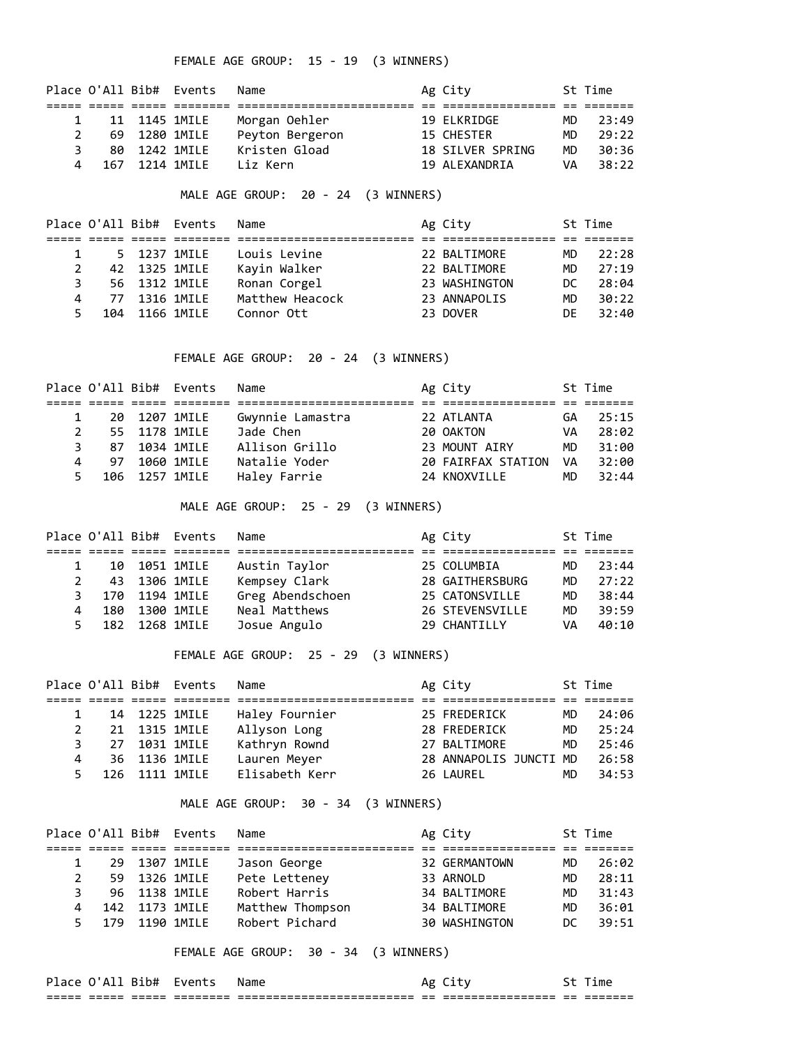FEMALE AGE GROUP: 15 - 19 (3 WINNERS)

|    |                | Place O'All Bib# Events | Name            | Ag City          |     | St Time |
|----|----------------|-------------------------|-----------------|------------------|-----|---------|
|    |                |                         |                 |                  |     |         |
|    |                | 11 1145 1MILE           | Morgan Oehler   | 19 ELKRIDGE      | MD. | 23:49   |
|    | 69 1280 1MILE  |                         | Peyton Bergeron | 15 CHESTER       | MD. | 29:22   |
| ٦. | 80 1242 1MILE  |                         | Kristen Gload   | 18 SILVER SPRING | MD. | 30:36   |
| 4  | 167 1214 1MTLF |                         | liz Kern        | 19 AI FXANDRTA   | VA  | 38:22   |

MALE AGE GROUP: 20 - 24 (3 WINNERS)

|    |  | Place O'All Bib# Events | Name            | Ag City       |     | St Time |
|----|--|-------------------------|-----------------|---------------|-----|---------|
|    |  |                         |                 |               |     |         |
|    |  | 5 1237 1MILE            | Louis Levine    | 22 BALTIMORE  | MD. | 22:28   |
|    |  | 42 1325 1MILE           | Kavin Walker    | 22 BALTIMORE  | MD. | 27:19   |
| 3. |  | 56 1312 1MILE           | Ronan Corgel    | 23 WASHINGTON | DC. | 28:04   |
| 4  |  | 77 1316 1MILE           | Matthew Heacock | 23 ANNAPOLIS  | MD. | 30:22   |
| 5. |  | 104 1166 1MILE          | Connor Ott      | 23 DOVER      | DF  | 32:40   |

FEMALE AGE GROUP: 20 - 24 (3 WINNERS)

|               |    |               | Place O'All Bib# Events | Name             | Ag City            |           | St Time |
|---------------|----|---------------|-------------------------|------------------|--------------------|-----------|---------|
|               |    |               |                         |                  |                    |           |         |
|               |    |               | 20 1207 1MILE           | Gwynnie Lamastra | 22 ATLANTA         | GA        | 25:15   |
| $\mathcal{P}$ |    | 55 1178 1MILE |                         | Jade Chen        | 20 OAKTON          | VA        | 28:02   |
|               | 87 | 1034 1MILE    |                         | Allison Grillo   | 23 MOUNT AIRY      | MD.       | 31:00   |
|               | 97 |               | 1060 1MILE              | Natalie Yoder    | 20 FAIRFAX STATION | <b>VA</b> | 32:00   |
| 5.            |    |               | 106 1257 1MILE          | Haley Farrie     | 24 KNOXVILLE       | MD        | 32:44   |

MALE AGE GROUP: 25 - 29 (3 WINNERS)

|   |     | Place O'All Bib# Events | Name             | Ag City         |     | St Time |
|---|-----|-------------------------|------------------|-----------------|-----|---------|
|   |     |                         |                  |                 |     |         |
|   |     | 10 1051 1MILE           | Austin Taylor    | 25 COLUMBIA     | MD. | 23:44   |
| 2 |     | 43 1306 1MILE           | Kempsey Clark    | 28 GAITHERSBURG | MD. | 27:22   |
|   | 170 | 1194 1MILE              | Greg Abendschoen | 25 CATONSVILLE  | MD  | 38:44   |
|   | 180 | 1300 1MILE              | Neal Matthews    | 26 STEVENSVILLE | MD. | 39:59   |
|   |     | 182 1268 1MILE          | Josue Angulo     | 29 CHANTILLY    | VA  | 40:10   |

FEMALE AGE GROUP: 25 - 29 (3 WINNERS)

|   |               | Place O'All Bib# Events | Name           | Ag City                |     | St Time |
|---|---------------|-------------------------|----------------|------------------------|-----|---------|
|   |               |                         |                |                        |     |         |
|   |               | 14 1225 1MILE           | Haley Fournier | 25 FREDERICK           | MD. | 24:06   |
|   |               | 21 1315 1MILE           | Allyson Long   | 28 FREDERICK           | MD  | 25:24   |
|   | 27 1031 1MILE |                         | Kathryn Rownd  | 27 BALTIMORE           | MD  | 25:46   |
| 4 | 36 1136 1MILE |                         | Lauren Meyer   | 28 ANNAPOLIS JUNCTI MD |     | 26:58   |
|   |               | 126 1111 1MILE          | Elisabeth Kerr | 26 LAUREL              | MD  | 34:53   |

MALE AGE GROUP: 30 - 34 (3 WINNERS)

|                |                | Place O'All Bib# Events | Name             | Ag City       |     | St Time |
|----------------|----------------|-------------------------|------------------|---------------|-----|---------|
|                |                |                         |                  |               |     |         |
|                | 29 1307 1MILE  |                         | Jason George     | 32 GERMANTOWN | MD. | 26:02   |
|                |                | 59 1326 1MILE           | Pete Letteney    | 33 ARNOLD     | MD  | 28:11   |
| 3.             |                | 96 1138 1MILE           | Robert Harris    | 34 BALTIMORE  | MD. | 31:43   |
| $\overline{4}$ | 142 1173 1MILE |                         | Matthew Thompson | 34 BALTIMORE  | MD. | 36:01   |
| 5.             | 179 1190 1MILE |                         | Robert Pichard   | 30 WASHINGTON | DC. | 39:51   |
|                |                |                         |                  |               |     |         |

FEMALE AGE GROUP: 30 - 34 (3 WINNERS)

| ldle                |                 | LD#             | Tvents                | Name                                                    | А٤           |                                      |               | ıme                |
|---------------------|-----------------|-----------------|-----------------------|---------------------------------------------------------|--------------|--------------------------------------|---------------|--------------------|
| ___<br>___<br>----- | _____<br>------ | ______<br>_____ | ________<br>_________ | --------------------------<br>------------------------- | ___<br>$- -$ | ________________<br>---------------- | $ -$<br>$- -$ | _______<br>------- |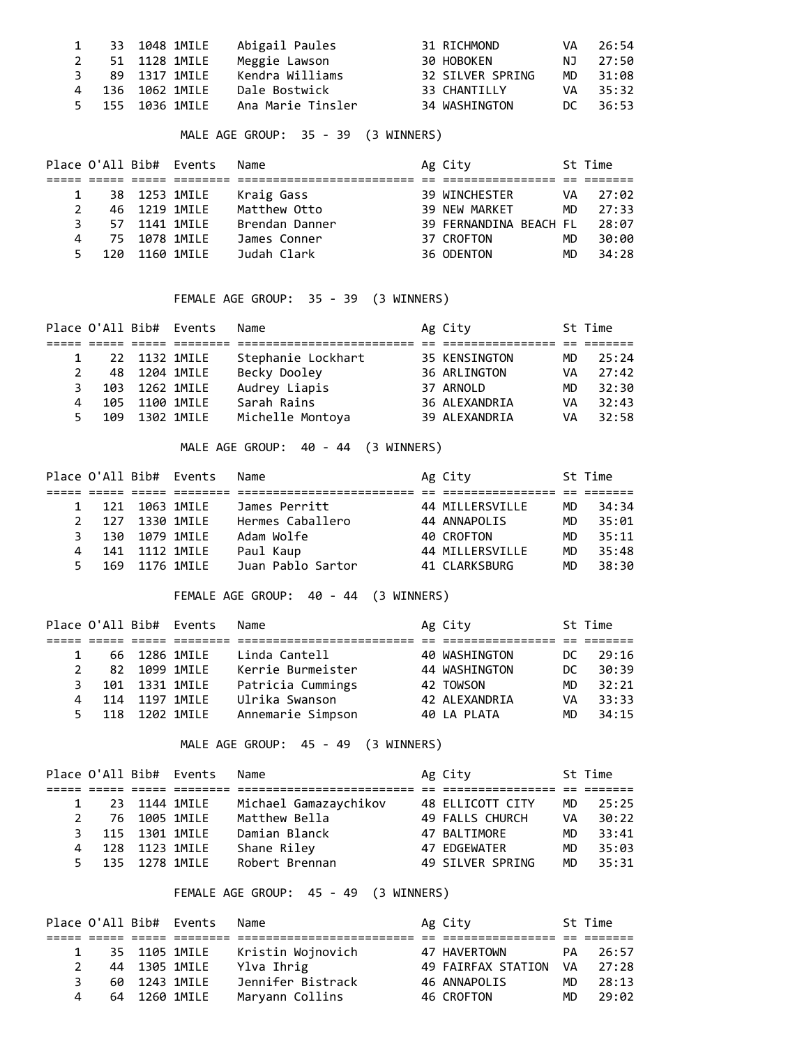|  | 33 1048 1MILE    | Abigail Paules    | 31 RICHMOND      | VA   | - 26 : 54 |
|--|------------------|-------------------|------------------|------|-----------|
|  | 51 1128 1MILE    | Meggie Lawson     | 30 HOBOKEN       | NJ 1 | 27:50     |
|  | 89 1317 1MILE    | Kendra Williams   | 32 SILVER SPRING | MD.  | 31:08     |
|  | 4 136 1062 1MILE | Dale Bostwick     | 33 CHANTILLY     | VA   | 35:32     |
|  | 5 155 1036 1MILE | Ana Marie Tinsler | 34 WASHINGTON    |      | DC 36:53  |

MALE AGE GROUP: 35 - 39 (3 WINNERS)

|    |  | Place O'All Bib# Events | Name           | Ag City                |     | St Time |
|----|--|-------------------------|----------------|------------------------|-----|---------|
|    |  |                         |                |                        |     |         |
|    |  | 38 1253 1MILE           | Kraig Gass     | 39 WINCHESTER          | VA  | 27:02   |
| 2  |  | 46 1219 1MILE           | Matthew Otto   | 39 NEW MARKET          | MD. | 27:33   |
| 3. |  | 57 1141 1MILE           | Brendan Danner | 39 FERNANDINA BEACH FL |     | 28:07   |
| 4  |  | 75 1078 1MILE           | James Conner   | 37 CROFTON             | MD  | 30:00   |
| 5. |  | 120 1160 1MTIF          | Judah Clark    | 36 ODENTON             | MD. | 34:28   |

## FEMALE AGE GROUP: 35 - 39 (3 WINNERS)

|         | Name                                                                                                            |                  |                                                                                         | St Time |
|---------|-----------------------------------------------------------------------------------------------------------------|------------------|-----------------------------------------------------------------------------------------|---------|
|         |                                                                                                                 |                  |                                                                                         |         |
|         | Stephanie Lockhart                                                                                              |                  | MD.                                                                                     | 25:24   |
|         | Becky Dooley                                                                                                    |                  | VA                                                                                      | 27:42   |
|         | Audrey Liapis                                                                                                   |                  | MD.                                                                                     | 32:30   |
|         | Sarah Rains                                                                                                     |                  | VA                                                                                      | 32:43   |
|         |                                                                                                                 |                  | VA                                                                                      | 32:58   |
| 4<br>5. | Place O'All Bib# Events<br>22 1132 1MILE<br>48 1204 1MILE<br>103 1262 1MILE<br>105 1100 1MILE<br>109 1302 1MILE | Michelle Montoya | Ag City<br>35 KENSINGTON<br>36 ARLINGTON<br>37 ARNOLD<br>36 ALEXANDRIA<br>39 ALEXANDRIA |         |

### MALE AGE GROUP: 40 - 44 (3 WINNERS)

|               |     |                | Place O'All Bib# Events | Name              | Ag City         |     | St Time |
|---------------|-----|----------------|-------------------------|-------------------|-----------------|-----|---------|
|               |     |                |                         |                   |                 |     |         |
|               | 121 |                | 1063 1MILE              | James Perritt     | 44 MILLERSVILLE | MD. | 34:34   |
| $\mathcal{P}$ | 127 | 1330 1MILE     |                         | Hermes Caballero  | 44 ANNAPOLIS    | MD. | 35:01   |
| २             |     | 130 1079 1MTIF |                         | Adam Wolfe        | 40 CROFTON      | MD. | 35:11   |
| 4             |     | 141 1112 1MTIF |                         | Paul Kaup         | 44 MILLERSVILLE | MD. | 35:48   |
| 5.            |     |                | 169 1176 1MILE          | Juan Pablo Sartor | 41 CLARKSBURG   | MD. | 38:30   |

FEMALE AGE GROUP: 40 - 44 (3 WINNERS)

|     |   | Name                                                                                                          |                                                          |                                                                                        | St Time |
|-----|---|---------------------------------------------------------------------------------------------------------------|----------------------------------------------------------|----------------------------------------------------------------------------------------|---------|
|     |   |                                                                                                               |                                                          |                                                                                        |         |
|     |   | Linda Cantell                                                                                                 |                                                          | DC.                                                                                    | 29:16   |
|     |   |                                                                                                               |                                                          | DC.                                                                                    | 30:39   |
|     |   |                                                                                                               |                                                          | MD.                                                                                    | 32:21   |
| 114 |   |                                                                                                               |                                                          | VA                                                                                     | 33:33   |
|     |   | Annemarie Simpson                                                                                             |                                                          | MD.                                                                                    | 34:15   |
|     | 4 | Place O'All Bib# Events<br>66 1286 1MILE<br>82 1099 1MILE<br>101 1331 1MILE<br>1197 1MTI F<br>118 1202 1MTI F | Kerrie Burmeister<br>Patricia Cummings<br>Ulrika Swanson | Ag City<br>40 WASHINGTON<br>44 WASHINGTON<br>42 TOWSON<br>42 ALEXANDRIA<br>40 LA PLATA |         |

MALE AGE GROUP: 45 - 49 (3 WINNERS)

|               |                | Place O'All Bib# Events | Name                  | Ag City          |     | St Time |
|---------------|----------------|-------------------------|-----------------------|------------------|-----|---------|
|               |                |                         |                       |                  |     |         |
|               | 23 1144 1MILE  |                         | Michael Gamazaychikov | 48 ELLICOTT CITY | MD. | 25:25   |
| $\mathcal{P}$ |                | 76 1005 1MILE           | Matthew Bella         | 49 FALLS CHURCH  | VA  | 30:22   |
|               | 115 1301 1MILE |                         | Damian Blanck         | 47 BALTIMORE     | MD. | 33:41   |
|               | 128 1123 1MILE |                         | Shane Riley           | 47 EDGEWATER     | MD. | 35:03   |
|               | 135 1278 1MILE |                         | Robert Brennan        | 49 SILVER SPRING | MD. | 35:31   |

## FEMALE AGE GROUP: 45 - 49 (3 WINNERS)

|   |  | Place O'All Bib# Events | Name              | Ag City            |           | St Time |
|---|--|-------------------------|-------------------|--------------------|-----------|---------|
|   |  |                         |                   |                    |           |         |
|   |  | 35 1105 1MILE           | Kristin Wojnovich | 47 HAVERTOWN       | PA.       | 26:57   |
|   |  | 44 1305 1MILE           | Ylva Ihrig        | 49 FAIRFAX STATION | <b>VA</b> | 27:28   |
| ₹ |  | 60 1243 1MILE           | Jennifer Bistrack | 46 ANNAPOLIS       | MD.       | 28:13   |
| 4 |  | 64 1260 1MILE           | Maryann Collins   | 46 CROFTON         | MD.       | 29:02   |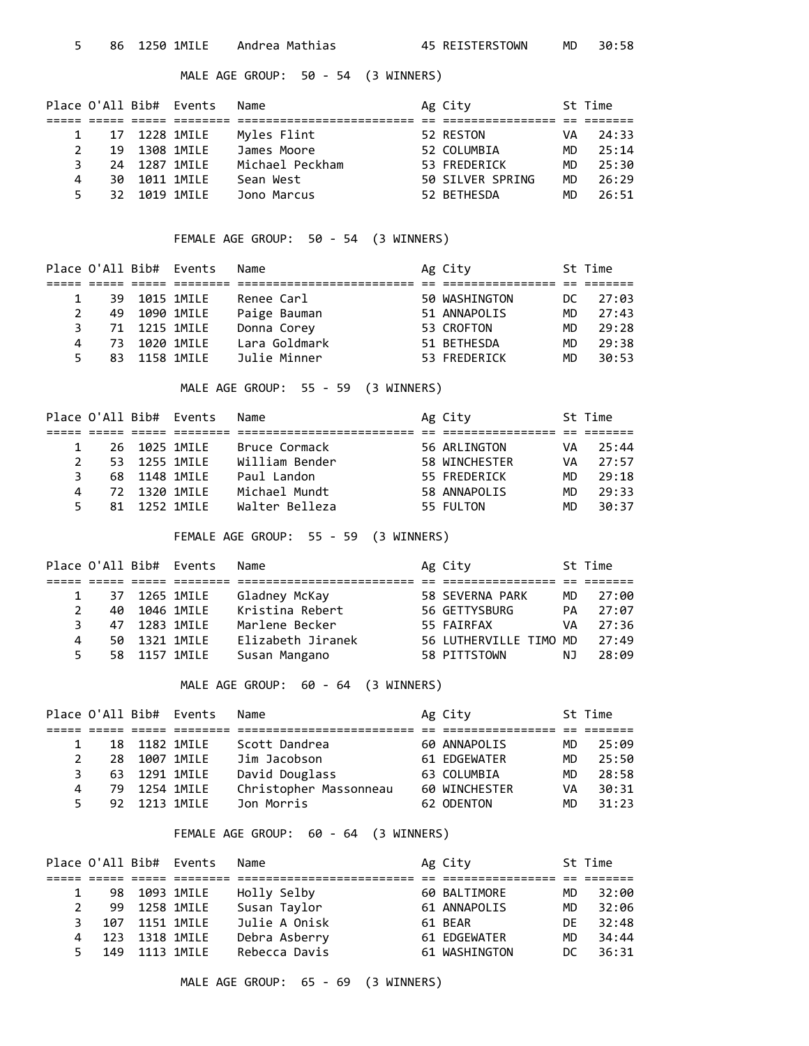MALE AGE GROUP: 50 - 54 (3 WINNERS)

|   |     |               | Place O'All Bib# Events | Name            | Ag City          |     | St Time |
|---|-----|---------------|-------------------------|-----------------|------------------|-----|---------|
|   |     |               |                         |                 |                  |     |         |
|   |     |               | 17 1228 1MILE           | Myles Flint     | 52 RESTON        | VA  | 24:33   |
|   | 19  |               | 1308 1MILE              | James Moore     | 52 COLUMBIA      | MD. | 25:14   |
|   |     | 24 1287 1MTLF |                         | Michael Peckham | 53 FREDERICK     | MD. | 25:30   |
| 4 | 30. |               | 1011 1MILE              | Sean West       | 50 SILVER SPRING | MD. | 26:29   |
|   |     | 32 1019 1MTLF |                         | Jono Marcus     | 52 BETHESDA      | MD. | 26:51   |

FEMALE AGE GROUP: 50 - 54 (3 WINNERS)

|    |               | Place O'All Bib# Events | Name          | Ag City       |     | St Time |
|----|---------------|-------------------------|---------------|---------------|-----|---------|
|    |               |                         |               |               |     |         |
|    | 39 1015 1MILE |                         | Renee Carl    | 50 WASHINGTON | DC. | 27:03   |
| 2  | 49 1090 1MILE |                         | Paige Bauman  | 51 ANNAPOLIS  | MD. | 27:43   |
| 3. | 71 1215 1MILE |                         | Donna Corey   | 53 CROFTON    | MD. | 29:28   |
| 4  | 73 1020 1MILE |                         | Lara Goldmark | 51 BETHESDA   | MD. | 29:38   |
| 5. | 83 1158 1MILE |                         | Julie Minner  | 53 FREDERICK  | MD. | 30:53   |

MALE AGE GROUP: 55 - 59 (3 WINNERS)

|    |               | Place O'All Bib# Events | Name           | Ag City       |     | St Time |
|----|---------------|-------------------------|----------------|---------------|-----|---------|
|    |               |                         |                |               |     |         |
|    |               | 26 1025 1MILE           | Bruce Cormack  | 56 ARLINGTON  | VA  | 25:44   |
|    | 53 1255 1MILE |                         | William Bender | 58 WINCHESTER | VA  | 27:57   |
|    | 68 1148 1MILE |                         | Paul Landon    | 55 FREDERICK  | MD. | 29:18   |
| 4  | 72 1320 1MTLF |                         | Michael Mundt  | 58 ANNAPOLIS  | MD. | 29:33   |
| 5. | 81 1252 1MTLF |                         | Walter Belleza | 55 FULTON     | MD. | 30:37   |

FEMALE AGE GROUP: 55 - 59 (3 WINNERS)

|    |     |            | Place O'All Bib# Events | Name              | Ag City                |     | St Time |
|----|-----|------------|-------------------------|-------------------|------------------------|-----|---------|
|    |     |            |                         |                   |                        |     |         |
|    | 37  |            | 1265 1MILE              | Gladney McKay     | 58 SEVERNA PARK        | MD. | 27:00   |
|    | 40  |            | 1046 1MILE              | Kristina Rebert   | 56 GETTYSBURG          | PA  | 27:07   |
|    | 47  |            | 1283 1MILE              | Marlene Becker    | 55 FAIRFAX             | VA  | 27:36   |
| 4  | 50. | 1321 1MILE |                         | Elizabeth Jiranek | 56 LUTHERVILLE TIMO MD |     | 27:49   |
| 5. |     |            | 58 1157 1MILE           | Susan Mangano     | 58 PITTSTOWN           | NJ. | 28:09   |

MALE AGE GROUP: 60 - 64 (3 WINNERS)

|               |     |               | Place O'All Bib# Events | Name                   | Ag City       |     | St Time |
|---------------|-----|---------------|-------------------------|------------------------|---------------|-----|---------|
|               |     |               |                         |                        |               |     |         |
|               |     | 18 1182 1MILE |                         | Scott Dandrea          | 60 ANNAPOLIS  | MD. | 25:09   |
| $\mathcal{P}$ | 28. |               | 1007 1MILE              | Jim Jacobson           | 61 EDGEWATER  | MD. | 25:50   |
|               |     | 63 1291 1MILE |                         | David Douglass         | 63 COLUMBIA   | MD. | 28:58   |
|               |     | 79 1254 1MILE |                         | Christopher Massonneau | 60 WINCHESTER | VA  | 30:31   |
|               |     | 92 1213 1MTLF |                         | Jon Morris             | 62 ODENTON    | MD. | 31:23   |

### FEMALE AGE GROUP: 60 - 64 (3 WINNERS)

|    |    |                 | Place O'All Bib# Events | Name          | Ag City       |     | St Time |
|----|----|-----------------|-------------------------|---------------|---------------|-----|---------|
|    |    |                 |                         |               |               |     |         |
|    |    | 98 1093 1MILE   |                         | Holly Selby   | 60 BALTIMORE  | MD. | 32:00   |
|    | 99 |                 | 1258 1MILE              | Susan Taylor  | 61 ANNAPOLIS  | MD  | 32:06   |
| 3. |    | 107 1151 1MILE  |                         | Julie A Onisk | 61 BEAR       | DF. | 32:48   |
|    |    | 123 1318 1MILE  |                         | Debra Asberry | 61 EDGEWATER  | MD. | 34:44   |
|    |    | 149 1113 1MTI F |                         | Rebecca Davis | 61 WASHINGTON | DC. | 36:31   |

MALE AGE GROUP: 65 - 69 (3 WINNERS)